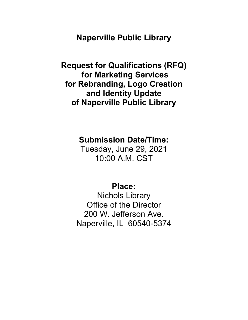**Naperville Public Library**

**Request for Qualifications (RFQ) for Marketing Services for Rebranding, Logo Creation and Identity Update of Naperville Public Library**

**Submission Date/Time:**

Tuesday, June 29, 2021 10:00 A.M. CST

**Place:**

Nichols Library Office of the Director 200 W. Jefferson Ave. Naperville, IL 60540-5374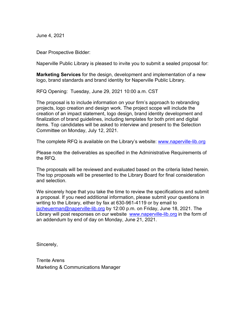June 4, 2021

Dear Prospective Bidder:

Naperville Public Library is pleased to invite you to submit a sealed proposal for:

**Marketing Services** for the design, development and implementation of a new logo, brand standards and brand identity for Naperville Public Library.

RFQ Opening: Tuesday, June 29, 2021 10:00 a.m. CST

The proposal is to include information on your firm's approach to rebranding projects, logo creation and design work. The project scope will include the creation of an impact statement, logo design, brand identity development and finalization of brand guidelines, including templates for both print and digital items. Top candidates will be asked to interview and present to the Selection Committee on Monday, July 12, 2021.

The complete RFQ is available on the Library's website: [www.naperville-lib.org](http://www.naperville-lib.org/)

Please note the deliverables as specified in the Administrative Requirements of the RFQ.

The proposals will be reviewed and evaluated based on the criteria listed herein. The top proposals will be presented to the Library Board for final consideration and selection.

We sincerely hope that you take the time to review the specifications and submit a proposal. If you need additional information, please submit your questions in writing to the Library, either by fax at 630-961-4119 or by email to [jscheuerman@naperville-lib.org](mailto:jscheuerman@naperville-lib.org) by 12:00 p.m. on Friday, June 18, 2021. The Library will post responses on our website [www.naperville-lib.org](http://www.naperville-lib.org/) in the form of an addendum by end of day on Monday, June 21, 2021.

Sincerely,

Trente Arens Marketing & Communications Manager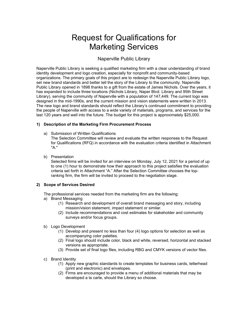# Request for Qualifications for Marketing Services

# Naperville Public Library

Naperville Public Library is seeking a qualified marketing firm with a clear understanding of brand identity development and logo creation, especially for nonprofit and community-based organizations. The primary goals of this project are to redesign the Naperville Public Library logo, set new brand standards and better tell the story of the Library to the community. Naperville Public Library opened in 1898 thanks to a gift from the estate of James Nichols. Over the years, it has expanded to include three locations (Nichols Library, Naper Blvd. Library and 95th Street Library), serving the community of Naperville with a population of 147,449. The current logo was designed in the mid-1990s, and the current mission and vision statements were written in 2013. The new logo and brand standards should reflect the Library's continued commitment to providing the people of Naperville with access to a wide variety of materials, programs, and services for the last 120 years and well into the future. The budget for this project is approximately \$25,000.

#### **1) Description of the Marketing Firm Procurement Process**

a) Submission of Written Qualifications

The Selection Committee will review and evaluate the written responses to the Request for Qualifications (RFQ) in accordance with the evaluation criteria identified in Attachment "A."

b) Presentation

Selected firms will be invited for an interview on Monday, July 12, 2021 for a period of up to one (1) hour to demonstrate how their approach to this project satisfies the evaluation criteria set forth in Attachment "A." After the Selection Committee chooses the topranking firm, the firm will be invited to proceed to the negotiation stage.

#### **2) Scope of Services Desired**

The professional services needed from the marketing firm are the following:

- a) Brand Messaging
	- (1) Research and development of overall brand messaging and story, including mission/vision statement, impact statement or similar.
	- (2) Include recommendations and cost estimates for stakeholder and community surveys and/or focus groups.
- b) Logo Development
	- (1) Develop and present no less than four (4) logo options for selection as well as accompanying color palettes.
	- (2) Final logo should include color, black and white, reversed, horizontal and stacked versions as appropriate.
	- (3) Provide set of final logo files, including RBG and CMYK versions of vector files.
- c) Brand Identity
	- (1) Apply new graphic standards to create templates for business cards, letterhead (print and electronic) and envelopes.
	- (2) Firms are encouraged to provide a menu of additional materials that may be developed a la carte, should the Library so choose.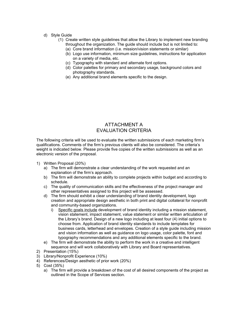- d) Style Guide
	- (1) Create written style guidelines that allow the Library to implement new branding throughout the organization. The guide should include but is not limited to:
		- (a) Core brand information (i.e. mission/vision statements or similar)
		- (b) Logo use information, minimum size guidelines, instructions for application on a variety of media, etc.
		- (c) Typography with standard and alternate font options.
		- (d) Color palettes for primary and secondary usage, background colors and photography standards.
		- (e) Any additional brand elements specific to the design.

### ATTACHMENT A EVALUATION CRITERIA

The following criteria will be used to evaluate the written submissions of each marketing firm's qualifications. Comments of the firm's previous clients will also be considered. The criteria's weight is indicated below. Please provide five copies of the written submissions as well as an electronic version of the proposal.

- 1) Written Proposal (20%)
	- a) The firm will demonstrate a clear understanding of the work requested and an explanation of the firm's approach.
	- b) The firm will demonstrate an ability to complete projects within budget and according to schedule.
	- c) The quality of communication skills and the effectiveness of the project manager and other representatives assigned to this project will be assessed.
	- d) The firm should exhibit a clear understanding of brand identity development, logo creation and appropriate design aesthetic in both print and digital collateral for nonprofit and community-based organizations.
		- i) Specific goals include development of brand identity including a mission statement, vision statement, impact statement, value statement or similar written articulation of the Library's brand. Design of a new logo including at least four (4) initial options to choose from. Application of brand identity standards to include templates for business cards, letterhead and envelopes. Creation of a style guide including mission and vision information as well as guidance on logo usage, color palette, font and typography recommendations and any additional elements specific to the brand.
	- e) The firm will demonstrate the ability to perform the work in a creative and intelligent sequence and will work collaboratively with Library and Board representatives.
- 2) Presentation (15%)
- 3) Library/Nonprofit Experience (10%)
- 4) References/Design aesthetic of prior work (20%)
- 5) Cost (35%)
	- a) The firm will provide a breakdown of the cost of all desired components of the project as outlined in the Scope of Services section.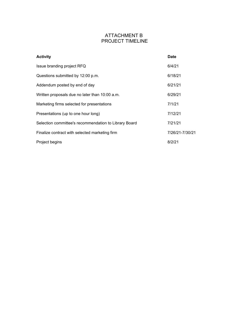# ATTACHMENT B PROJECT TIMELINE

| <b>Activity</b>                                       | <b>Date</b>     |
|-------------------------------------------------------|-----------------|
| Issue branding project RFQ                            | 6/4/21          |
| Questions submitted by 12:00 p.m.                     | 6/18/21         |
| Addendum posted by end of day                         | 6/21/21         |
| Written proposals due no later than 10:00 a.m.        | 6/29/21         |
| Marketing firms selected for presentations            | 7/1/21          |
| Presentations (up to one hour long)                   | 7/12/21         |
| Selection committee's recommendation to Library Board | 7/21/21         |
| Finalize contract with selected marketing firm        | 7/26/21-7/30/21 |
| Project begins                                        | 8/2/21          |